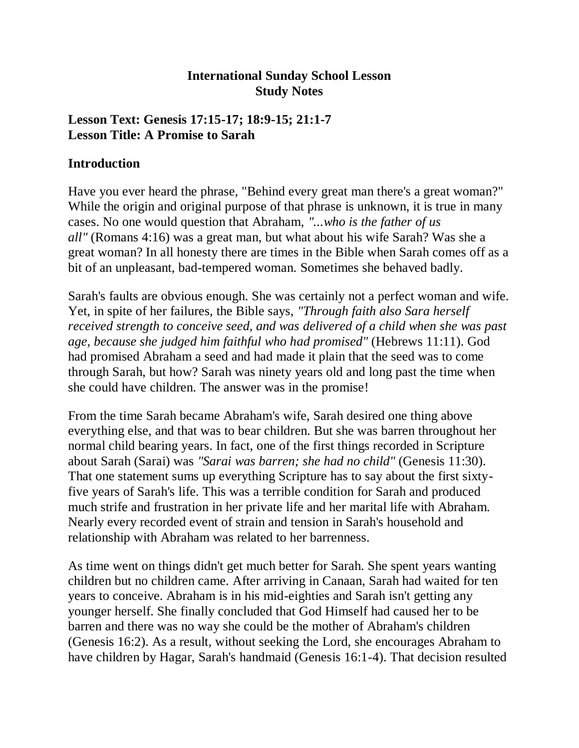### **International Sunday School Lesson Study Notes**

#### **Lesson Text: Genesis 17:15-17; 18:9-15; 21:1-7 Lesson Title: A Promise to Sarah**

#### **Introduction**

Have you ever heard the phrase, "Behind every great man there's a great woman?" While the origin and original purpose of that phrase is unknown, it is true in many cases. No one would question that Abraham, *"...who is the father of us all"* (Romans 4:16) was a great man, but what about his wife Sarah? Was she a great woman? In all honesty there are times in the Bible when Sarah comes off as a bit of an unpleasant, bad-tempered woman. Sometimes she behaved badly.

Sarah's faults are obvious enough. She was certainly not a perfect woman and wife. Yet, in spite of her failures, the Bible says, *"Through faith also Sara herself received strength to conceive seed, and was delivered of a child when she was past age, because she judged him faithful who had promised"* (Hebrews 11:11). God had promised Abraham a seed and had made it plain that the seed was to come through Sarah, but how? Sarah was ninety years old and long past the time when she could have children. The answer was in the promise!

From the time Sarah became Abraham's wife, Sarah desired one thing above everything else, and that was to bear children. But she was barren throughout her normal child bearing years. In fact, one of the first things recorded in Scripture about Sarah (Sarai) was *"Sarai was barren; she had no child"* (Genesis 11:30). That one statement sums up everything Scripture has to say about the first sixtyfive years of Sarah's life. This was a terrible condition for Sarah and produced much strife and frustration in her private life and her marital life with Abraham. Nearly every recorded event of strain and tension in Sarah's household and relationship with Abraham was related to her barrenness.

As time went on things didn't get much better for Sarah. She spent years wanting children but no children came. After arriving in Canaan, Sarah had waited for ten years to conceive. Abraham is in his mid-eighties and Sarah isn't getting any younger herself. She finally concluded that God Himself had caused her to be barren and there was no way she could be the mother of Abraham's children (Genesis 16:2). As a result, without seeking the Lord, she encourages Abraham to have children by Hagar, Sarah's handmaid (Genesis 16:1-4). That decision resulted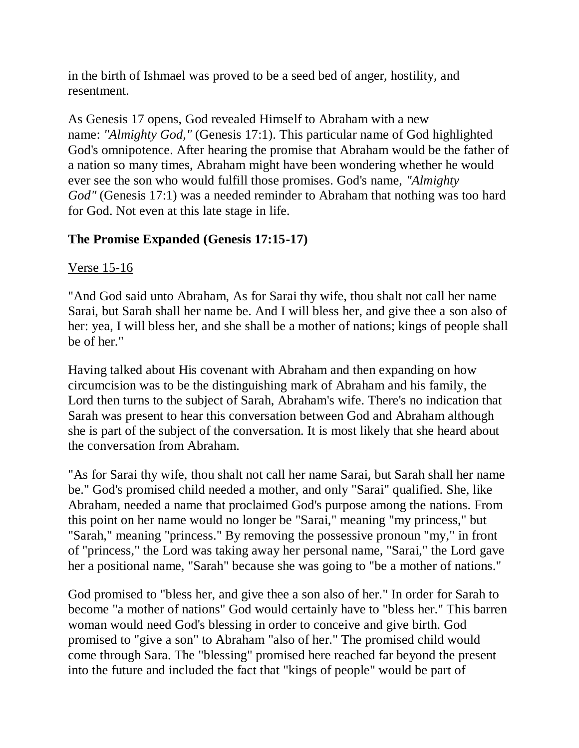in the birth of Ishmael was proved to be a seed bed of anger, hostility, and resentment.

As Genesis 17 opens, God revealed Himself to Abraham with a new name: *"Almighty God,"* (Genesis 17:1). This particular name of God highlighted God's omnipotence. After hearing the promise that Abraham would be the father of a nation so many times, Abraham might have been wondering whether he would ever see the son who would fulfill those promises. God's name, *"Almighty God"* (Genesis 17:1) was a needed reminder to Abraham that nothing was too hard for God. Not even at this late stage in life.

# **The Promise Expanded (Genesis 17:15-17)**

# Verse 15-16

"And God said unto Abraham, As for Sarai thy wife, thou shalt not call her name Sarai, but Sarah shall her name be. And I will bless her, and give thee a son also of her: yea, I will bless her, and she shall be a mother of nations; kings of people shall be of her."

Having talked about His covenant with Abraham and then expanding on how circumcision was to be the distinguishing mark of Abraham and his family, the Lord then turns to the subject of Sarah, Abraham's wife. There's no indication that Sarah was present to hear this conversation between God and Abraham although she is part of the subject of the conversation. It is most likely that she heard about the conversation from Abraham.

"As for Sarai thy wife, thou shalt not call her name Sarai, but Sarah shall her name be." God's promised child needed a mother, and only "Sarai" qualified. She, like Abraham, needed a name that proclaimed God's purpose among the nations. From this point on her name would no longer be "Sarai," meaning "my princess," but "Sarah," meaning "princess." By removing the possessive pronoun "my," in front of "princess," the Lord was taking away her personal name, "Sarai," the Lord gave her a positional name, "Sarah" because she was going to "be a mother of nations."

God promised to "bless her, and give thee a son also of her." In order for Sarah to become "a mother of nations" God would certainly have to "bless her." This barren woman would need God's blessing in order to conceive and give birth. God promised to "give a son" to Abraham "also of her." The promised child would come through Sara. The "blessing" promised here reached far beyond the present into the future and included the fact that "kings of people" would be part of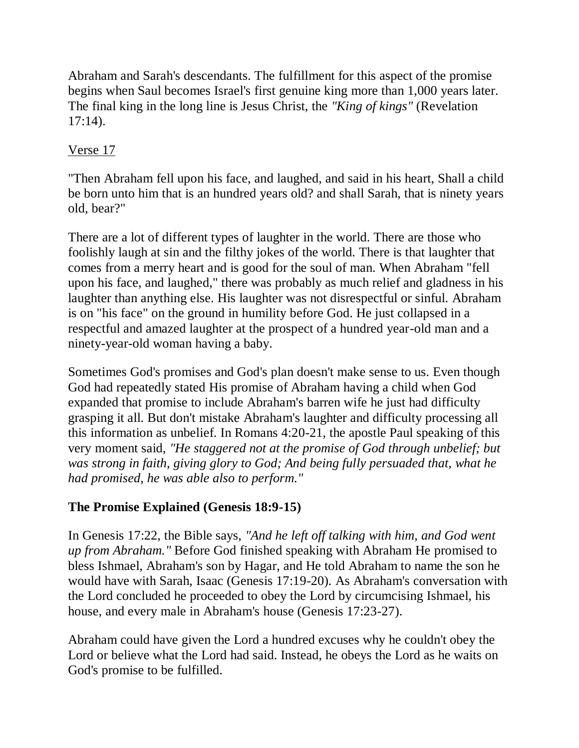Abraham and Sarah's descendants. The fulfillment for this aspect of the promise begins when Saul becomes Israel's first genuine king more than 1,000 years later. The final king in the long line is Jesus Christ, the *"King of kings"* (Revelation 17:14).

# Verse 17

"Then Abraham fell upon his face, and laughed, and said in his heart, Shall a child be born unto him that is an hundred years old? and shall Sarah, that is ninety years old, bear?"

There are a lot of different types of laughter in the world. There are those who foolishly laugh at sin and the filthy jokes of the world. There is that laughter that comes from a merry heart and is good for the soul of man. When Abraham "fell upon his face, and laughed," there was probably as much relief and gladness in his laughter than anything else. His laughter was not disrespectful or sinful. Abraham is on "his face" on the ground in humility before God. He just collapsed in a respectful and amazed laughter at the prospect of a hundred year-old man and a ninety-year-old woman having a baby.

Sometimes God's promises and God's plan doesn't make sense to us. Even though God had repeatedly stated His promise of Abraham having a child when God expanded that promise to include Abraham's barren wife he just had difficulty grasping it all. But don't mistake Abraham's laughter and difficulty processing all this information as unbelief. In Romans 4:20-21, the apostle Paul speaking of this very moment said, *"He staggered not at the promise of God through unbelief; but was strong in faith, giving glory to God; And being fully persuaded that, what he had promised, he was able also to perform."*

# **The Promise Explained (Genesis 18:9-15)**

In Genesis 17:22, the Bible says, *"And he left off talking with him, and God went up from Abraham."* Before God finished speaking with Abraham He promised to bless Ishmael, Abraham's son by Hagar, and He told Abraham to name the son he would have with Sarah, Isaac (Genesis 17:19-20). As Abraham's conversation with the Lord concluded he proceeded to obey the Lord by circumcising Ishmael, his house, and every male in Abraham's house (Genesis 17:23-27).

Abraham could have given the Lord a hundred excuses why he couldn't obey the Lord or believe what the Lord had said. Instead, he obeys the Lord as he waits on God's promise to be fulfilled.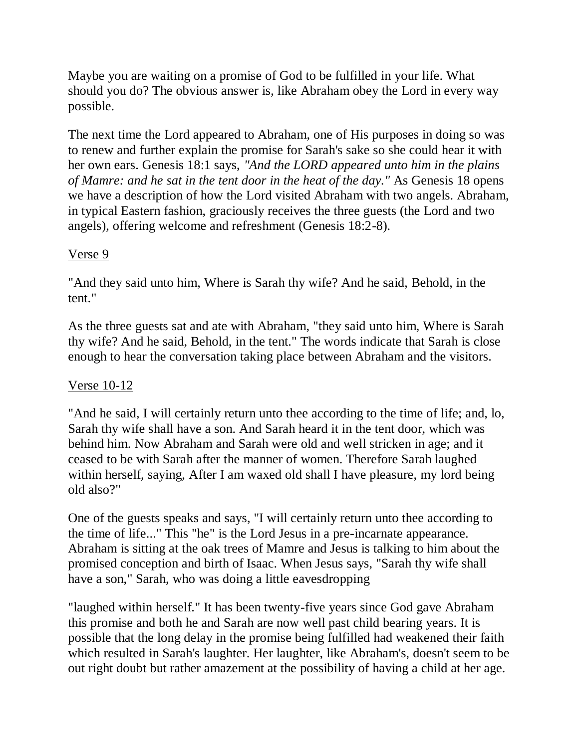Maybe you are waiting on a promise of God to be fulfilled in your life. What should you do? The obvious answer is, like Abraham obey the Lord in every way possible.

The next time the Lord appeared to Abraham, one of His purposes in doing so was to renew and further explain the promise for Sarah's sake so she could hear it with her own ears. Genesis 18:1 says, *"And the LORD appeared unto him in the plains of Mamre: and he sat in the tent door in the heat of the day."* As Genesis 18 opens we have a description of how the Lord visited Abraham with two angels. Abraham, in typical Eastern fashion, graciously receives the three guests (the Lord and two angels), offering welcome and refreshment (Genesis 18:2-8).

### Verse 9

"And they said unto him, Where is Sarah thy wife? And he said, Behold, in the tent."

As the three guests sat and ate with Abraham, "they said unto him, Where is Sarah thy wife? And he said, Behold, in the tent." The words indicate that Sarah is close enough to hear the conversation taking place between Abraham and the visitors.

# Verse 10-12

"And he said, I will certainly return unto thee according to the time of life; and, lo, Sarah thy wife shall have a son. And Sarah heard it in the tent door, which was behind him. Now Abraham and Sarah were old and well stricken in age; and it ceased to be with Sarah after the manner of women. Therefore Sarah laughed within herself, saying, After I am waxed old shall I have pleasure, my lord being old also?"

One of the guests speaks and says, "I will certainly return unto thee according to the time of life..." This "he" is the Lord Jesus in a pre-incarnate appearance. Abraham is sitting at the oak trees of Mamre and Jesus is talking to him about the promised conception and birth of Isaac. When Jesus says, "Sarah thy wife shall have a son," Sarah, who was doing a little eavesdropping

"laughed within herself." It has been twenty-five years since God gave Abraham this promise and both he and Sarah are now well past child bearing years. It is possible that the long delay in the promise being fulfilled had weakened their faith which resulted in Sarah's laughter. Her laughter, like Abraham's, doesn't seem to be out right doubt but rather amazement at the possibility of having a child at her age.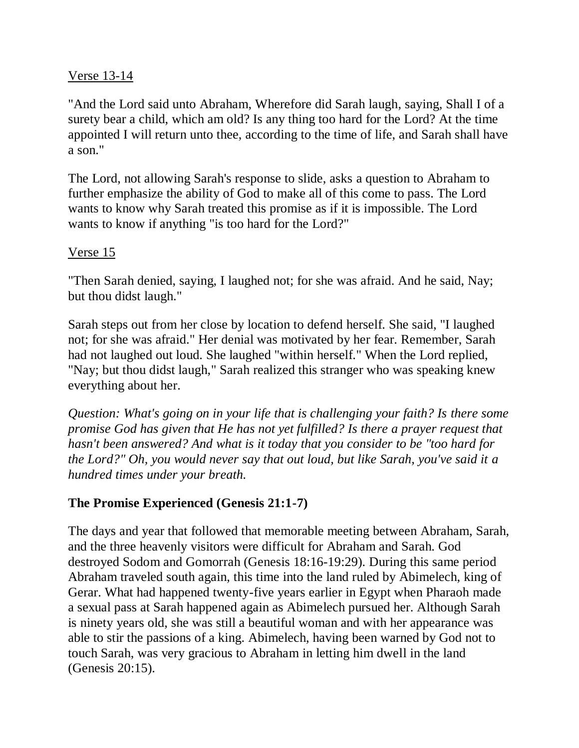#### Verse 13-14

"And the Lord said unto Abraham, Wherefore did Sarah laugh, saying, Shall I of a surety bear a child, which am old? Is any thing too hard for the Lord? At the time appointed I will return unto thee, according to the time of life, and Sarah shall have a son."

The Lord, not allowing Sarah's response to slide, asks a question to Abraham to further emphasize the ability of God to make all of this come to pass. The Lord wants to know why Sarah treated this promise as if it is impossible. The Lord wants to know if anything "is too hard for the Lord?"

### Verse 15

"Then Sarah denied, saying, I laughed not; for she was afraid. And he said, Nay; but thou didst laugh."

Sarah steps out from her close by location to defend herself. She said, "I laughed not; for she was afraid." Her denial was motivated by her fear. Remember, Sarah had not laughed out loud. She laughed "within herself." When the Lord replied, "Nay; but thou didst laugh," Sarah realized this stranger who was speaking knew everything about her.

*Question: What's going on in your life that is challenging your faith? Is there some promise God has given that He has not yet fulfilled? Is there a prayer request that hasn't been answered? And what is it today that you consider to be "too hard for the Lord?" Oh, you would never say that out loud, but like Sarah, you've said it a hundred times under your breath.*

# **The Promise Experienced (Genesis 21:1-7)**

The days and year that followed that memorable meeting between Abraham, Sarah, and the three heavenly visitors were difficult for Abraham and Sarah. God destroyed Sodom and Gomorrah (Genesis 18:16-19:29). During this same period Abraham traveled south again, this time into the land ruled by Abimelech, king of Gerar. What had happened twenty-five years earlier in Egypt when Pharaoh made a sexual pass at Sarah happened again as Abimelech pursued her. Although Sarah is ninety years old, she was still a beautiful woman and with her appearance was able to stir the passions of a king. Abimelech, having been warned by God not to touch Sarah, was very gracious to Abraham in letting him dwell in the land (Genesis 20:15).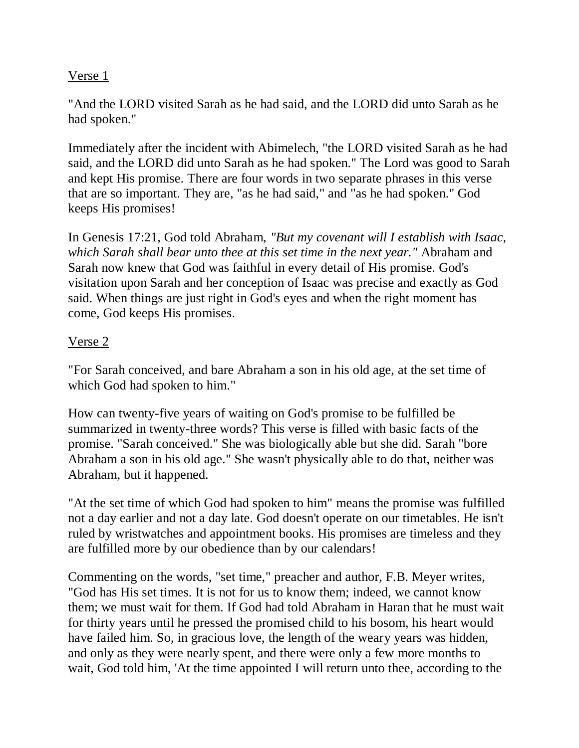#### Verse 1

"And the LORD visited Sarah as he had said, and the LORD did unto Sarah as he had spoken."

Immediately after the incident with Abimelech, "the LORD visited Sarah as he had said, and the LORD did unto Sarah as he had spoken." The Lord was good to Sarah and kept His promise. There are four words in two separate phrases in this verse that are so important. They are, "as he had said," and "as he had spoken." God keeps His promises!

In Genesis 17:21, God told Abraham, *"But my covenant will I establish with Isaac, which Sarah shall bear unto thee at this set time in the next year."* Abraham and Sarah now knew that God was faithful in every detail of His promise. God's visitation upon Sarah and her conception of Isaac was precise and exactly as God said. When things are just right in God's eyes and when the right moment has come, God keeps His promises.

### Verse 2

"For Sarah conceived, and bare Abraham a son in his old age, at the set time of which God had spoken to him."

How can twenty-five years of waiting on God's promise to be fulfilled be summarized in twenty-three words? This verse is filled with basic facts of the promise. "Sarah conceived." She was biologically able but she did. Sarah "bore Abraham a son in his old age." She wasn't physically able to do that, neither was Abraham, but it happened.

"At the set time of which God had spoken to him" means the promise was fulfilled not a day earlier and not a day late. God doesn't operate on our timetables. He isn't ruled by wristwatches and appointment books. His promises are timeless and they are fulfilled more by our obedience than by our calendars!

Commenting on the words, "set time," preacher and author, F.B. Meyer writes, "God has His set times. It is not for us to know them; indeed, we cannot know them; we must wait for them. If God had told Abraham in Haran that he must wait for thirty years until he pressed the promised child to his bosom, his heart would have failed him. So, in gracious love, the length of the weary years was hidden, and only as they were nearly spent, and there were only a few more months to wait, God told him, 'At the time appointed I will return unto thee, according to the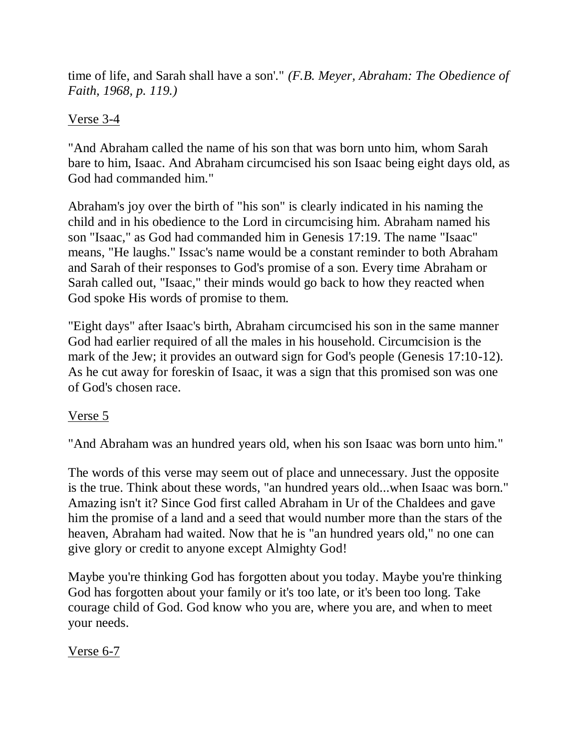time of life, and Sarah shall have a son'." *(F.B. Meyer, Abraham: The Obedience of Faith, 1968, p. 119.)*

# Verse 3-4

"And Abraham called the name of his son that was born unto him, whom Sarah bare to him, Isaac. And Abraham circumcised his son Isaac being eight days old, as God had commanded him."

Abraham's joy over the birth of "his son" is clearly indicated in his naming the child and in his obedience to the Lord in circumcising him. Abraham named his son "Isaac," as God had commanded him in Genesis 17:19. The name "Isaac" means, "He laughs." Issac's name would be a constant reminder to both Abraham and Sarah of their responses to God's promise of a son. Every time Abraham or Sarah called out, "Isaac," their minds would go back to how they reacted when God spoke His words of promise to them.

"Eight days" after Isaac's birth, Abraham circumcised his son in the same manner God had earlier required of all the males in his household. Circumcision is the mark of the Jew; it provides an outward sign for God's people (Genesis 17:10-12). As he cut away for foreskin of Isaac, it was a sign that this promised son was one of God's chosen race.

# Verse 5

"And Abraham was an hundred years old, when his son Isaac was born unto him."

The words of this verse may seem out of place and unnecessary. Just the opposite is the true. Think about these words, "an hundred years old...when Isaac was born." Amazing isn't it? Since God first called Abraham in Ur of the Chaldees and gave him the promise of a land and a seed that would number more than the stars of the heaven, Abraham had waited. Now that he is "an hundred years old," no one can give glory or credit to anyone except Almighty God!

Maybe you're thinking God has forgotten about you today. Maybe you're thinking God has forgotten about your family or it's too late, or it's been too long. Take courage child of God. God know who you are, where you are, and when to meet your needs.

# Verse 6-7